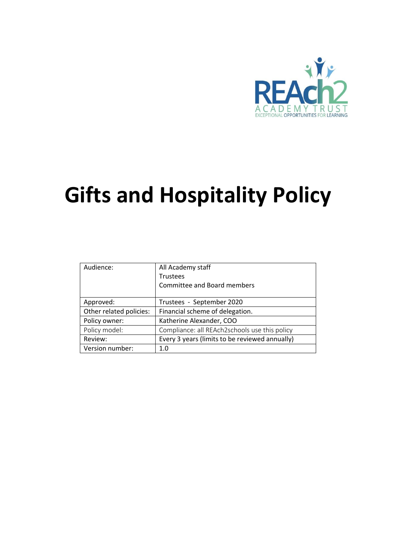

# **Gifts and Hospitality Policy**

| Audience:               | All Academy staff                              |  |
|-------------------------|------------------------------------------------|--|
|                         | <b>Trustees</b>                                |  |
|                         | Committee and Board members                    |  |
|                         |                                                |  |
| Approved:               | Trustees - September 2020                      |  |
| Other related policies: | Financial scheme of delegation.                |  |
| Policy owner:           | Katherine Alexander, COO                       |  |
| Policy model:           | Compliance: all REAch2schools use this policy  |  |
| Review:                 | Every 3 years (limits to be reviewed annually) |  |
| Version number:         | 1.0                                            |  |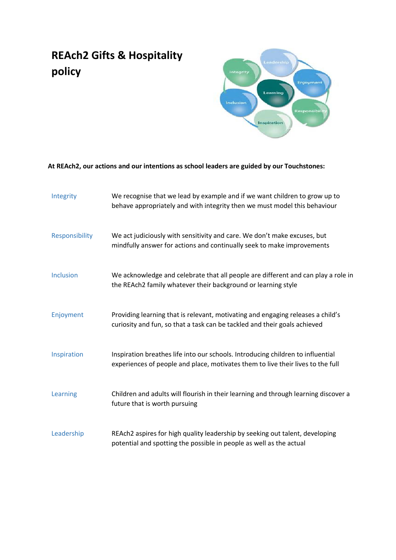# **REAch2 Gifts & Hospitality policy**



## **At REAch2, our actions and our intentions as school leaders are guided by our Touchstones:**

| Integrity        | We recognise that we lead by example and if we want children to grow up to<br>behave appropriately and with integrity then we must model this behaviour            |
|------------------|--------------------------------------------------------------------------------------------------------------------------------------------------------------------|
| Responsibility   | We act judiciously with sensitivity and care. We don't make excuses, but<br>mindfully answer for actions and continually seek to make improvements                 |
| <b>Inclusion</b> | We acknowledge and celebrate that all people are different and can play a role in<br>the REAch2 family whatever their background or learning style                 |
| Enjoyment        | Providing learning that is relevant, motivating and engaging releases a child's<br>curiosity and fun, so that a task can be tackled and their goals achieved       |
| Inspiration      | Inspiration breathes life into our schools. Introducing children to influential<br>experiences of people and place, motivates them to live their lives to the full |
| Learning         | Children and adults will flourish in their learning and through learning discover a<br>future that is worth pursuing                                               |
| Leadership       | REAch2 aspires for high quality leadership by seeking out talent, developing<br>potential and spotting the possible in people as well as the actual                |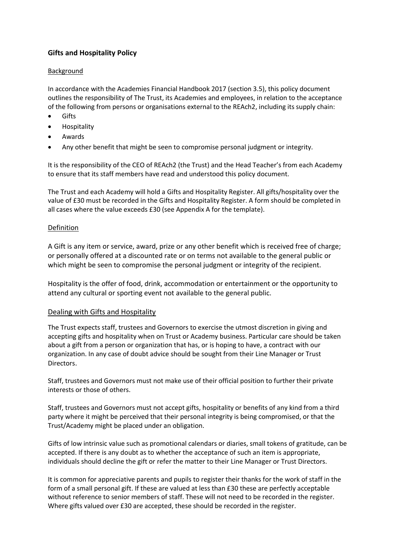### **Gifts and Hospitality Policy**

#### Background

In accordance with the Academies Financial Handbook 2017 (section 3.5), this policy document outlines the responsibility of The Trust, its Academies and employees, in relation to the acceptance of the following from persons or organisations external to the REAch2, including its supply chain:

- Gifts
- **•** Hospitality
- Awards
- Any other benefit that might be seen to compromise personal judgment or integrity.

It is the responsibility of the CEO of REAch2 (the Trust) and the Head Teacher's from each Academy to ensure that its staff members have read and understood this policy document.

The Trust and each Academy will hold a Gifts and Hospitality Register. All gifts/hospitality over the value of £30 must be recorded in the Gifts and Hospitality Register. A form should be completed in all cases where the value exceeds £30 (see Appendix A for the template).

#### Definition

A Gift is any item or service, award, prize or any other benefit which is received free of charge; or personally offered at a discounted rate or on terms not available to the general public or which might be seen to compromise the personal judgment or integrity of the recipient.

Hospitality is the offer of food, drink, accommodation or entertainment or the opportunity to attend any cultural or sporting event not available to the general public.

#### Dealing with Gifts and Hospitality

The Trust expects staff, trustees and Governors to exercise the utmost discretion in giving and accepting gifts and hospitality when on Trust or Academy business. Particular care should be taken about a gift from a person or organization that has, or is hoping to have, a contract with our organization. In any case of doubt advice should be sought from their Line Manager or Trust Directors.

Staff, trustees and Governors must not make use of their official position to further their private interests or those of others.

Staff, trustees and Governors must not accept gifts, hospitality or benefits of any kind from a third party where it might be perceived that their personal integrity is being compromised, or that the Trust/Academy might be placed under an obligation.

Gifts of low intrinsic value such as promotional calendars or diaries, small tokens of gratitude, can be accepted. If there is any doubt as to whether the acceptance of such an item is appropriate, individuals should decline the gift or refer the matter to their Line Manager or Trust Directors.

It is common for appreciative parents and pupils to register their thanks for the work of staff in the form of a small personal gift. If these are valued at less than £30 these are perfectly acceptable without reference to senior members of staff. These will not need to be recorded in the register. Where gifts valued over £30 are accepted, these should be recorded in the register.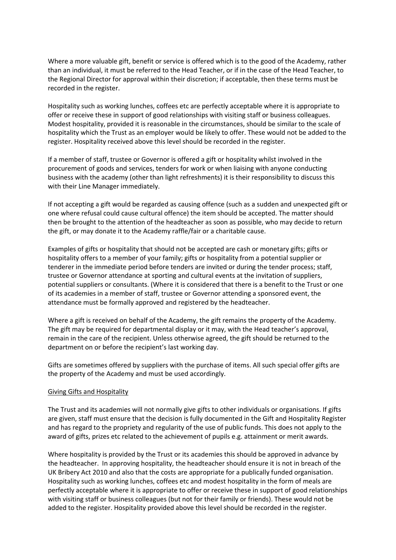Where a more valuable gift, benefit or service is offered which is to the good of the Academy, rather than an individual, it must be referred to the Head Teacher, or if in the case of the Head Teacher, to the Regional Director for approval within their discretion; if acceptable, then these terms must be recorded in the register.

Hospitality such as working lunches, coffees etc are perfectly acceptable where it is appropriate to offer or receive these in support of good relationships with visiting staff or business colleagues. Modest hospitality, provided it is reasonable in the circumstances, should be similar to the scale of hospitality which the Trust as an employer would be likely to offer. These would not be added to the register. Hospitality received above this level should be recorded in the register.

If a member of staff, trustee or Governor is offered a gift or hospitality whilst involved in the procurement of goods and services, tenders for work or when liaising with anyone conducting business with the academy (other than light refreshments) it is their responsibility to discuss this with their Line Manager immediately.

If not accepting a gift would be regarded as causing offence (such as a sudden and unexpected gift or one where refusal could cause cultural offence) the item should be accepted. The matter should then be brought to the attention of the headteacher as soon as possible, who may decide to return the gift, or may donate it to the Academy raffle/fair or a charitable cause.

Examples of gifts or hospitality that should not be accepted are cash or monetary gifts; gifts or hospitality offers to a member of your family; gifts or hospitality from a potential supplier or tenderer in the immediate period before tenders are invited or during the tender process; staff, trustee or Governor attendance at sporting and cultural events at the invitation of suppliers, potential suppliers or consultants. (Where it is considered that there is a benefit to the Trust or one of its academies in a member of staff, trustee or Governor attending a sponsored event, the attendance must be formally approved and registered by the headteacher.

Where a gift is received on behalf of the Academy, the gift remains the property of the Academy. The gift may be required for departmental display or it may, with the Head teacher's approval, remain in the care of the recipient. Unless otherwise agreed, the gift should be returned to the department on or before the recipient's last working day.

Gifts are sometimes offered by suppliers with the purchase of items. All such special offer gifts are the property of the Academy and must be used accordingly.

#### Giving Gifts and Hospitality

The Trust and its academies will not normally give gifts to other individuals or organisations. If gifts are given, staff must ensure that the decision is fully documented in the Gift and Hospitality Register and has regard to the propriety and regularity of the use of public funds. This does not apply to the award of gifts, prizes etc related to the achievement of pupils e.g. attainment or merit awards.

Where hospitality is provided by the Trust or its academies this should be approved in advance by the headteacher. In approving hospitality, the headteacher should ensure it is not in breach of the UK Bribery Act 2010 and also that the costs are appropriate for a publically funded organisation. Hospitality such as working lunches, coffees etc and modest hospitality in the form of meals are perfectly acceptable where it is appropriate to offer or receive these in support of good relationships with visiting staff or business colleagues (but not for their family or friends). These would not be added to the register. Hospitality provided above this level should be recorded in the register.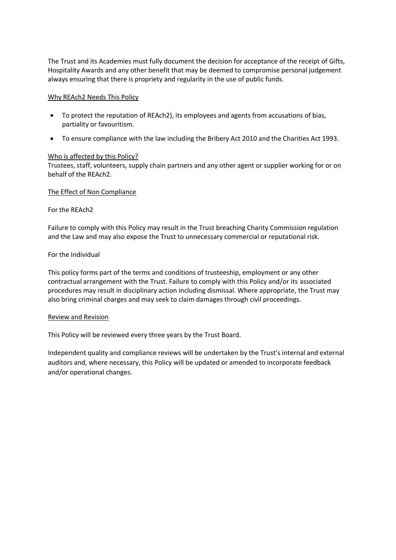The Trust and its Academies must fully document the decision for acceptance of the receipt of Gifts, Hospitality Awards and any other benefit that may be deemed to compromise personal judgement always ensuring that there is propriety and regularity in the use of public funds.

#### Why REAch2 Needs This Policy

- To protect the reputation of REAch2), its employees and agents from accusations of bias, partiality or favouritism.
- To ensure compliance with the law including the Bribery Act 2010 and the Charities Act 1993.

#### Who is affected by this Policy?

Trustees, staff, volunteers, supply chain partners and any other agent or supplier working for or on behalf of the REAch2.

#### The Effect of Non Compliance

#### For the REAch2

Failure to comply with this Policy may result in the Trust breaching Charity Commission regulation and the Law and may also expose the Trust to unnecessary commercial or reputational risk.

#### For the Individual

This policy forms part of the terms and conditions of trusteeship, employment or any other contractual arrangement with the Trust. Failure to comply with this Policy and/or its associated procedures may result in disciplinary action including dismissal. Where appropriate, the Trust may also bring criminal charges and may seek to claim damages through civil proceedings.

#### Review and Revision

This Policy will be reviewed every three years by the Trust Board.

Independent quality and compliance reviews will be undertaken by the Trust's internal and external auditors and, where necessary, this Policy will be updated or amended to incorporate feedback and/or operational changes.